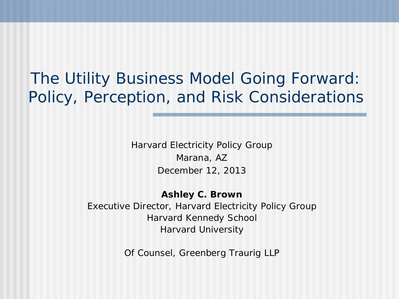The Utility Business Model Going Forward: Policy, Perception, and Risk Considerations

> Harvard Electricity Policy Group Marana, AZ December 12, 2013

**Ashley C. Brown** Executive Director, Harvard Electricity Policy Group Harvard Kennedy School Harvard University

Of Counsel, Greenberg Traurig LLP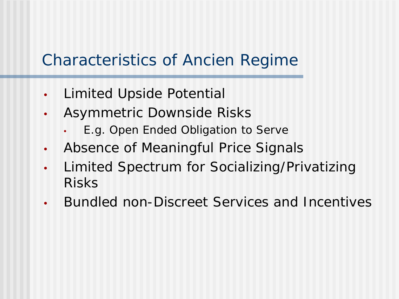## Characteristics of *Ancien Regime*

- Limited Upside Potential
- Asymmetric Downside Risks
	- E.g. Open Ended Obligation to Serve
- Absence of Meaningful Price Signals
- Limited Spectrum for Socializing/Privatizing Risks
- Bundled non-Discreet Services and Incentives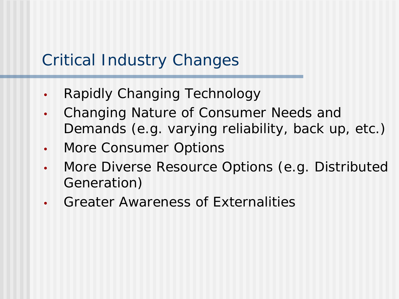## Critical Industry Changes

- Rapidly Changing Technology
- Changing Nature of Consumer Needs and Demands (e.g. varying reliability, back up, etc.)
- More Consumer Options
- More Diverse Resource Options (e.g. Distributed Generation)
- Greater Awareness of Externalities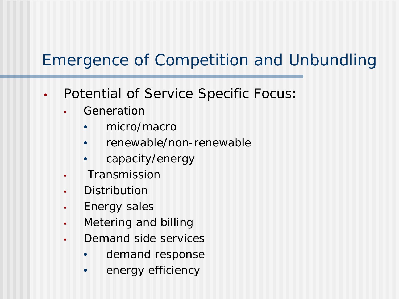# Emergence of Competition and Unbundling

- Potential of Service Specific Focus:
	- **Generation** 
		- micro/macro
		- renewable/non-renewable
		- capacity/energy
	- **Transmission**
	- **Distribution**
	- Energy sales
	- Metering and billing
	- Demand side services
		- demand response
		- energy efficiency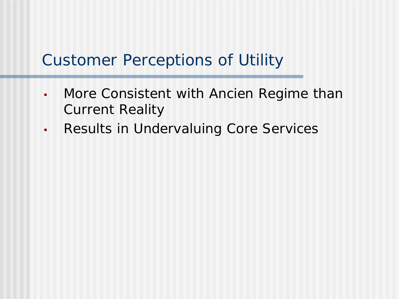## Customer Perceptions of Utility

- More Consistent with *Ancien Regime* than Current Reality
- Results in Undervaluing Core Services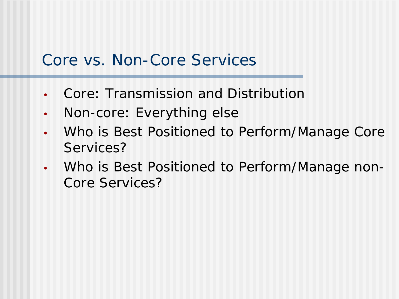#### Core vs. Non-Core Services

- Core: Transmission and Distribution
- Non-core: Everything else
- Who is Best Positioned to Perform/Manage Core Services?
- Who is Best Positioned to Perform/Manage non-Core Services?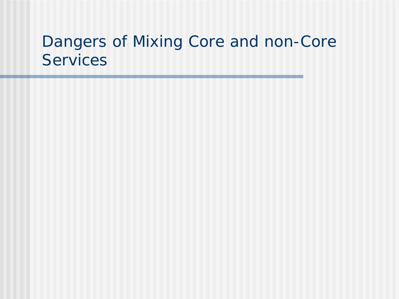#### Dangers of Mixing Core and non-Core **Services**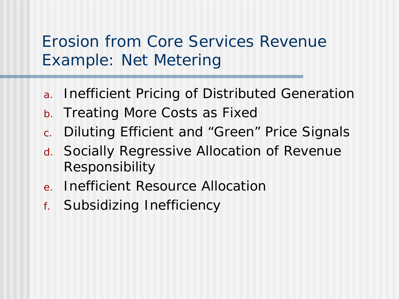## Erosion from Core Services Revenue Example: Net Metering

- a. Inefficient Pricing of Distributed Generation
- b. Treating More Costs as Fixed
- c. Diluting Efficient and "Green" Price Signals
- d. Socially Regressive Allocation of Revenue Responsibility
- e. Inefficient Resource Allocation
- f. Subsidizing Inefficiency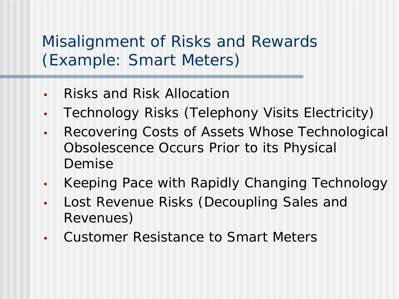## Misalignment of Risks and Rewards (Example: Smart Meters)

- Risks and Risk Allocation
- Technology Risks (Telephony Visits Electricity)
- Recovering Costs of Assets Whose Technological Obsolescence Occurs Prior to its Physical Demise
- Keeping Pace with Rapidly Changing Technology
- Lost Revenue Risks (Decoupling Sales and Revenues)
- Customer Resistance to Smart Meters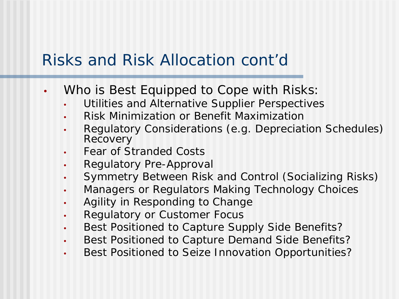### Risks and Risk Allocation cont'd

- Who is Best Equipped to Cope with Risks:
	- Utilities and Alternative Supplier Perspectives
	- Risk Minimization or Benefit Maximization
	- Regulatory Considerations (e.g. Depreciation Schedules) Recovery
	- Fear of Stranded Costs
	- Regulatory Pre-Approval
	- Symmetry Between Risk and Control (Socializing Risks)
	- Managers or Regulators Making Technology Choices
	- Agility in Responding to Change
	- Regulatory or Customer Focus
	- Best Positioned to Capture Supply Side Benefits?
	- Best Positioned to Capture Demand Side Benefits?
	- Best Positioned to Seize Innovation Opportunities?